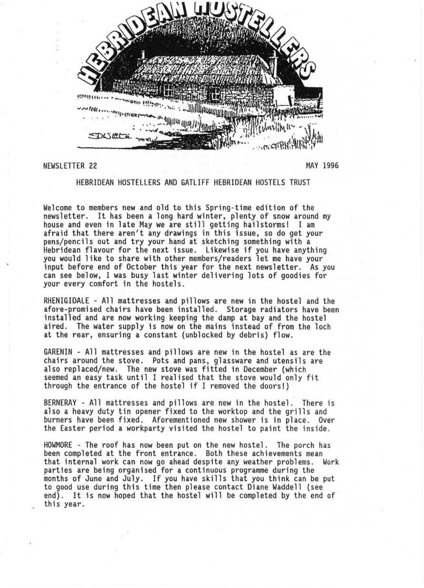

## NEWSLETTER 22 MAY 1996

HEBRIDEAN HOSTELLERS AND GATLIFF HEBRIDEAN HOSTELS TRUST

Welcome to members new and old to this Spring-time edition of the<br>newsletter. It has been a long hard winter, plenty of snow around my house and even in late May we are still getting hailstorms! I am afraid that there aren't any drawings in this issue, so do get your pens/pencils out and try your hand at sketching something with a Hebridean flavour for the next issue . Likewise if you have anything input before end of October this year for the next newsletter. As you can see below, I was busy last winter delivering lots of goodies for your every comfort in the hostels .

RHENIGIDALE - All mattresses and pillows are new in the hostel and the afore-promised chairs have been installed. Storage radiators have been installed and are now working keeping the damp at bay and the hostel aired. The water supply is now on the mains instead of from the loch at the rear, ensuring a constant (unblocked by debris) flow.

GARENIN - All mattresses and pillows are new in the hostel as are the chairs around the stove. Pots and pans, glassware and utensils are also replaced/new. The new stove was fitted in December (which seemed an easy task until I realised that the stove would only fit through the entrance of the hostel if I removed the doors !)

BERNERAY - All mattresses and pillows are new in the hostel. There is also a heavy duty tin opener fixed to the worktop and the grills and burners have been fixed. Aforementioned new shower is in place. Over the Easter period a workparty visited the hostel to paint the inside.

HOWMORE - The roof has now been put on the new hostel . The porch has been completed at the front entrance. Both these achievements mean that internal work can now go ahead despite any weather problems. Work parties are being organised for a continuous programme during the months of June and July. If you have skills that you think can be put to good use during this time then please contact Diane Waddell (see end). It is now hoped that the hostel will be completed by the end of this year.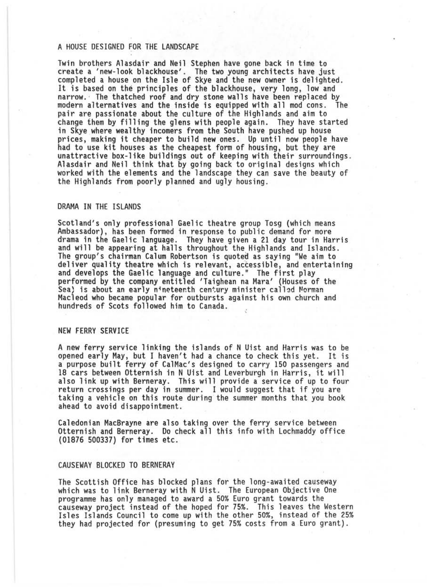# A HOUSE DESIGNED FOR THE LANDSCAPE

Twin brothers Alasdair and Neil Stephen have gone back in time to create a 'new-look blackhouse' . The two young architects have interested a house on the Isle of Skye and the new owner is delighted.<br>It is based on the principles of the blackhouse, very long, low and narrow. ' The thatched roof and dry stone walls have been replaced by modern alternatives and the inside is equipped with all mod cons . The pair are passionate about the culture of the Highlands and aim to change them by filling the glens with people again. They have started in Skye where wealthy incomers from the South have pushed up house prices, making it cheaper to build new ones. Up until now people have had to use kit houses as the cheapest form of housing, but they are unattractive box-like buildings out of keeping with their surroundings. Alasdair and Neil think that by going back to original designs which worked with the elements and the landscape they can save the beauty of the Highlands from poorly planned and ugly housing.

#### DRAMA IN THE ISLANDS

Scotland's only professional Gaelic theatre group Tosg (which means Ambassador), has been formed in response to public demand for more drama in the Gaelic language. They have given a 21 day tour in Harris and will be appearing at halls throughout the Highlands and Islands.<br>The group's chairman Calum Robertson is quoted as saying "We aim to<br>deliver quality theatre which is relevant, accessible, and entertaining and develops the Gaelic language and culture." The first play<br>performed by the company entitled 'Taighean na Mara' (Houses of the Sea) is about an early nineteenth century minister called Norman Macleod who became popular for outbursts against his own church and hundreds of Scots followed him to Canada.

### NEW FERRY SERVICE

A new ferry service linking the islands of N Uist and Harris was to be opened early May, but I haven't had a chance to check this yet. It is a purpose built ferry of CalMac's designed to carry 150 passengers and 18 cars between Otternish in N Uist and Leverburgh in Harris, it will also link up with Berneray. This will provide a service of up to four return crossings per day in summer. I would suggest that if you are taking a vehicle on this route during the summer months that you book ahead to avoid disappointment.

Caledonian MacBrayne are also taking over the ferry service between Otternish and Berneray. Do check all this info with Lochmaddy office (01876 500337) for times etc.

### CAUSEWAY BLOCKED TO BERNERAY

The Scottish Office has blocked plans for the long-awaited causeway<br>which was to link Berneray with N Uist. The European Objective One programme has only managed to award a 50% Euro grant towards the causeway project instead of the hoped for 75% . This leaves the Western Isles Islands Council to come up with the other 50%, instead of the 25% they had projected for (presuming to get 75% costs from a Euro grant).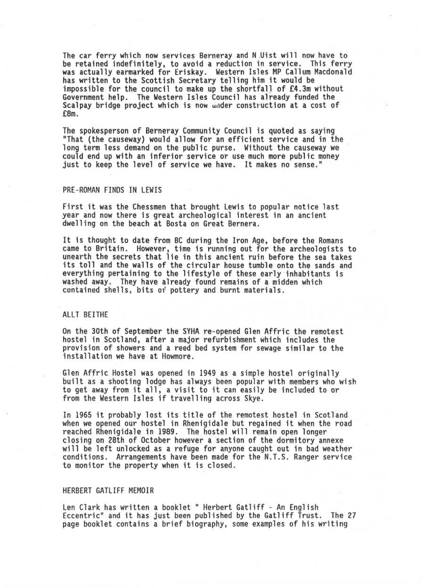The car ferry which now services Berneray and N Uist will now have to be retained indefinitely, to avoid a reduction in service . This ferry was actually earmarked for Eriskay. Western Isles MP Callum Macdonald has written to the Scottish Secretary telling him it would be impossible for the council to make up the shortfall of £4.3m without Government help. The Western Isles Council has already funded the Scalpay bridge project which is now under construction at a cost of £8m.

The spokesperson of Berneray Community Council is quoted as saying<br>"That (the causeway) would allow for an efficient service and in the long term less demand on the public purse. Without the causeway we<br>could end up with an inferior service or use much more public money just to keep the level of service we have. It makes no sense."

#### PRE-ROMAN FINDS IN LEWIS

First it was the Chessmen that brought Lewis to popular notice last year and now there is great archeological interest in an ancient dwelling on the beach at Bosta on Great Bernera.

It is thought to date from BC during the Iron Age, before the Romans came to Britain. However, time is running out for the archeologists to unearth the secrets that lie in this ancient ruin before the sea takes its toll and the walls of the circular house tumble onto the sands and everything pertaining to the lifestyle of these early inhabitants is washed away. They have already found remains of a midden which contained shells, bits of pottery and burnt materials.

## ALLT BEITHE

On the 30th of September the SYHA re-opened Glen Affric the remotest hostel in Scotland, after a major refurbishment which includes the provision of showers and a reed bed system for sewage similar to the installation we have at Howmore .

Glen Affric Hostel was opened in 1949 as a simple hostel originally built as a shooting lodge has always been popular with members who wish to get away from it all, a visit to it can easily be included to or from the Western Isles if travelling across Skye .

In 1965 it probably lost its title of the remotest hostel in Scotland when we opened our hostel in Rhenigidale but regained it when the road reached Rhenigidale in 1989. The hostel will remain open longer closing on 28th of October however a section of the dormitory annexe will be left unlocked as a refuge for anyone caught out in bad weather conditions. Arrangements have been made for the N.T.S . Ranger service to monitor the property when it is closed .

#### HERBERT GATLIFF MEMOIR

Len Clark has written a booklet " Herbert Gatliff - An English<br>Eccentric" and it has just been published by the Gatliff Trust. The 27 page booklet contains a brief biography, some examples of his writing